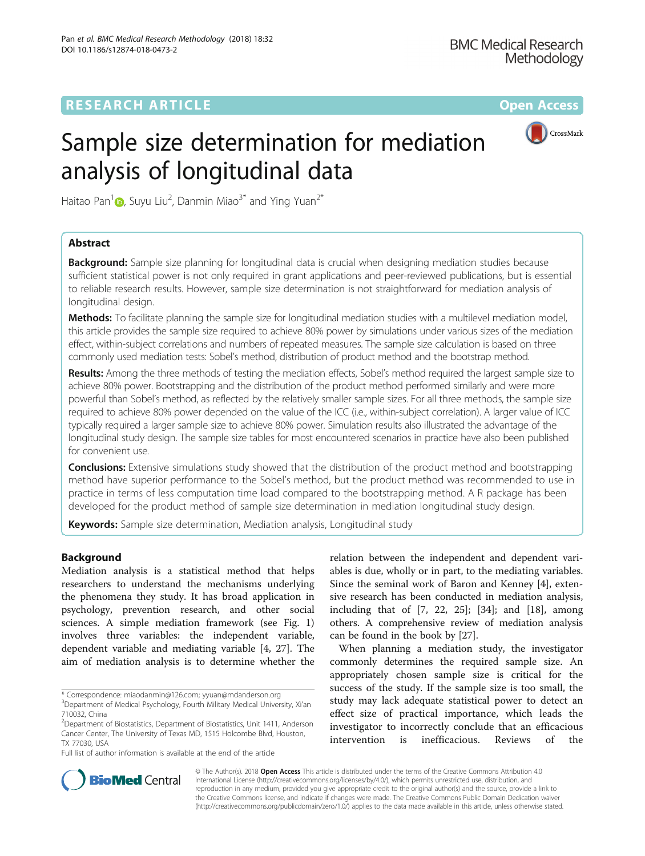# **RESEARCH ARTICLE External Structure Community Community Community Community Community Community Community Community**



# Sample size determination for mediation analysis of longitudinal data

Haitao Pan $^1\text{\O}$ [,](http://orcid.org/0000-0003-4457-7349) Suyu Liu $^2$ , Danmin Miao $^{3^*}$  and Ying Yuan $^{2^*}$ 

## Abstract

**Background:** Sample size planning for longitudinal data is crucial when designing mediation studies because sufficient statistical power is not only required in grant applications and peer-reviewed publications, but is essential to reliable research results. However, sample size determination is not straightforward for mediation analysis of longitudinal design.

Methods: To facilitate planning the sample size for longitudinal mediation studies with a multilevel mediation model, this article provides the sample size required to achieve 80% power by simulations under various sizes of the mediation effect, within-subject correlations and numbers of repeated measures. The sample size calculation is based on three commonly used mediation tests: Sobel's method, distribution of product method and the bootstrap method.

Results: Among the three methods of testing the mediation effects, Sobel's method required the largest sample size to achieve 80% power. Bootstrapping and the distribution of the product method performed similarly and were more powerful than Sobel's method, as reflected by the relatively smaller sample sizes. For all three methods, the sample size required to achieve 80% power depended on the value of the ICC (i.e., within-subject correlation). A larger value of ICC typically required a larger sample size to achieve 80% power. Simulation results also illustrated the advantage of the longitudinal study design. The sample size tables for most encountered scenarios in practice have also been published for convenient use.

**Conclusions:** Extensive simulations study showed that the distribution of the product method and bootstrapping method have superior performance to the Sobel's method, but the product method was recommended to use in practice in terms of less computation time load compared to the bootstrapping method. A R package has been developed for the product method of sample size determination in mediation longitudinal study design.

Keywords: Sample size determination, Mediation analysis, Longitudinal study

## Background

Mediation analysis is a statistical method that helps researchers to understand the mechanisms underlying the phenomena they study. It has broad application in psychology, prevention research, and other social sciences. A simple mediation framework (see Fig. [1](#page-1-0)) involves three variables: the independent variable, dependent variable and mediating variable [\[4](#page-9-0), [27\]](#page-10-0). The aim of mediation analysis is to determine whether the

Full list of author information is available at the end of the article

relation between the independent and dependent variables is due, wholly or in part, to the mediating variables. Since the seminal work of Baron and Kenney [\[4](#page-9-0)], extensive research has been conducted in mediation analysis, including that of [\[7](#page-9-0), [22](#page-10-0), [25](#page-10-0)]; [[34\]](#page-10-0); and [[18](#page-10-0)], among others. A comprehensive review of mediation analysis can be found in the book by [[27\]](#page-10-0).

When planning a mediation study, the investigator commonly determines the required sample size. An appropriately chosen sample size is critical for the success of the study. If the sample size is too small, the study may lack adequate statistical power to detect an effect size of practical importance, which leads the investigator to incorrectly conclude that an efficacious intervention is inefficacious. Reviews of the



© The Author(s). 2018 Open Access This article is distributed under the terms of the Creative Commons Attribution 4.0 International License [\(http://creativecommons.org/licenses/by/4.0/](http://creativecommons.org/licenses/by/4.0/)), which permits unrestricted use, distribution, and reproduction in any medium, provided you give appropriate credit to the original author(s) and the source, provide a link to the Creative Commons license, and indicate if changes were made. The Creative Commons Public Domain Dedication waiver [\(http://creativecommons.org/publicdomain/zero/1.0/](http://creativecommons.org/publicdomain/zero/1.0/)) applies to the data made available in this article, unless otherwise stated.

<sup>\*</sup> Correspondence: [miaodanmin@126.com](mailto:miaodanmin@126.com); [yyuan@mdanderson.org](mailto:yyuan@mdanderson.org) <sup>3</sup> <sup>3</sup>Department of Medical Psychology, Fourth Military Medical University, Xi'an 710032, China

<sup>&</sup>lt;sup>2</sup>Department of Biostatistics, Department of Biostatistics, Unit 1411, Anderson Cancer Center, The University of Texas MD, 1515 Holcombe Blvd, Houston, TX 77030, USA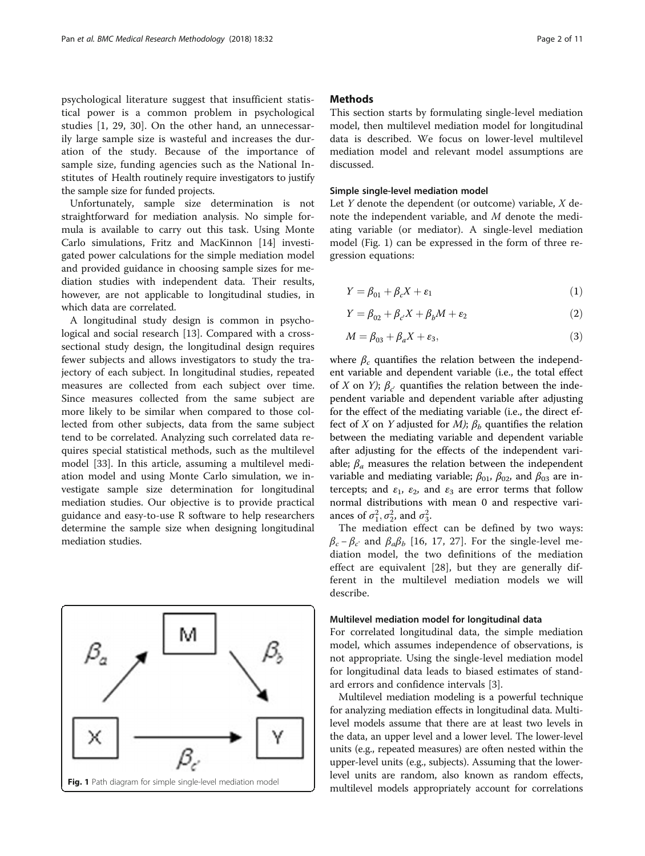<span id="page-1-0"></span>psychological literature suggest that insufficient statistical power is a common problem in psychological studies [[1,](#page-9-0) [29, 30](#page-10-0)]. On the other hand, an unnecessarily large sample size is wasteful and increases the duration of the study. Because of the importance of sample size, funding agencies such as the National Institutes of Health routinely require investigators to justify the sample size for funded projects.

Unfortunately, sample size determination is not straightforward for mediation analysis. No simple formula is available to carry out this task. Using Monte Carlo simulations, Fritz and MacKinnon [[14\]](#page-10-0) investigated power calculations for the simple mediation model and provided guidance in choosing sample sizes for mediation studies with independent data. Their results, however, are not applicable to longitudinal studies, in which data are correlated.

A longitudinal study design is common in psychological and social research [[13\]](#page-10-0). Compared with a crosssectional study design, the longitudinal design requires fewer subjects and allows investigators to study the trajectory of each subject. In longitudinal studies, repeated measures are collected from each subject over time. Since measures collected from the same subject are more likely to be similar when compared to those collected from other subjects, data from the same subject tend to be correlated. Analyzing such correlated data requires special statistical methods, such as the multilevel model [\[33](#page-10-0)]. In this article, assuming a multilevel mediation model and using Monte Carlo simulation, we investigate sample size determination for longitudinal mediation studies. Our objective is to provide practical guidance and easy-to-use R software to help researchers determine the sample size when designing longitudinal mediation studies.



## **Methods**

This section starts by formulating single-level mediation model, then multilevel mediation model for longitudinal data is described. We focus on lower-level multilevel mediation model and relevant model assumptions are discussed.

#### Simple single-level mediation model

Let  $Y$  denote the dependent (or outcome) variable,  $X$  denote the independent variable, and M denote the mediating variable (or mediator). A single-level mediation model (Fig. 1) can be expressed in the form of three regression equations:

$$
Y = \beta_{01} + \beta_c X + \varepsilon_1 \tag{1}
$$

$$
Y = \beta_{02} + \beta_{c'}X + \beta_b M + \varepsilon_2 \tag{2}
$$

$$
M = \beta_{03} + \beta_a X + \varepsilon_3,\tag{3}
$$

where  $\beta_c$  quantifies the relation between the independent variable and dependent variable (i.e., the total effect of X on Y);  $\beta_{c}$  quantifies the relation between the independent variable and dependent variable after adjusting for the effect of the mediating variable (i.e., the direct effect of X on Y adjusted for M);  $\beta_h$  quantifies the relation between the mediating variable and dependent variable after adjusting for the effects of the independent variable;  $\beta_a$  measures the relation between the independent variable and mediating variable;  $\beta_{01}$ ,  $\beta_{02}$ , and  $\beta_{03}$  are intercepts; and  $\varepsilon_1$ ,  $\varepsilon_2$ , and  $\varepsilon_3$  are error terms that follow normal distributions with mean 0 and respective variances of  $\sigma_1^2, \sigma_2^2$ , and  $\sigma_3^2$ .

The mediation effect can be defined by two ways:  $\beta_c - \beta_c$  and  $\beta_a \beta_b$  [\[16](#page-10-0), [17, 27](#page-10-0)]. For the single-level mediation model, the two definitions of the mediation effect are equivalent [[28\]](#page-10-0), but they are generally different in the multilevel mediation models we will describe.

### Multilevel mediation model for longitudinal data

For correlated longitudinal data, the simple mediation model, which assumes independence of observations, is not appropriate. Using the single-level mediation model for longitudinal data leads to biased estimates of standard errors and confidence intervals [\[3](#page-9-0)].

Multilevel mediation modeling is a powerful technique for analyzing mediation effects in longitudinal data. Multilevel models assume that there are at least two levels in the data, an upper level and a lower level. The lower-level units (e.g., repeated measures) are often nested within the upper-level units (e.g., subjects). Assuming that the lowerlevel units are random, also known as random effects,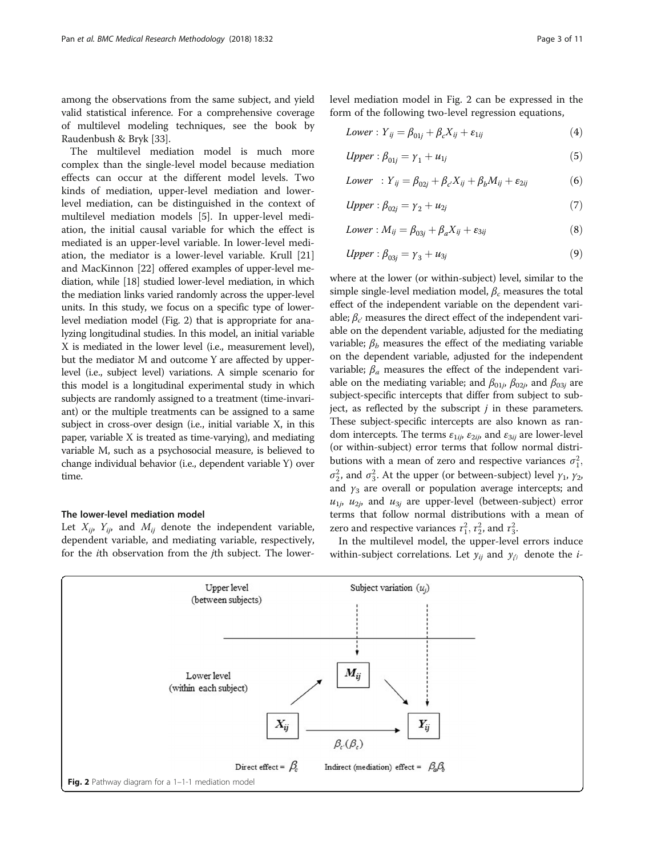<span id="page-2-0"></span>among the observations from the same subject, and yield valid statistical inference. For a comprehensive coverage of multilevel modeling techniques, see the book by Raudenbush & Bryk [[33](#page-10-0)].

The multilevel mediation model is much more complex than the single-level model because mediation effects can occur at the different model levels. Two kinds of mediation, upper-level mediation and lowerlevel mediation, can be distinguished in the context of multilevel mediation models [\[5](#page-9-0)]. In upper-level mediation, the initial causal variable for which the effect is mediated is an upper-level variable. In lower-level mediation, the mediator is a lower-level variable. Krull [[21](#page-10-0)] and MacKinnon [\[22\]](#page-10-0) offered examples of upper-level mediation, while [[18](#page-10-0)] studied lower-level mediation, in which the mediation links varied randomly across the upper-level units. In this study, we focus on a specific type of lowerlevel mediation model (Fig. 2) that is appropriate for analyzing longitudinal studies. In this model, an initial variable X is mediated in the lower level (i.e., measurement level), but the mediator M and outcome Y are affected by upperlevel (i.e., subject level) variations. A simple scenario for this model is a longitudinal experimental study in which subjects are randomly assigned to a treatment (time-invariant) or the multiple treatments can be assigned to a same subject in cross-over design (i.e., initial variable X, in this paper, variable X is treated as time-varying), and mediating variable M, such as a psychosocial measure, is believed to change individual behavior (i.e., dependent variable Y) over time.

#### The lower-level mediation model

Let  $X_{ij}$ ,  $Y_{ij}$ , and  $M_{ij}$  denote the independent variable, dependent variable, and mediating variable, respectively, for the ith observation from the jth subject. The lowerlevel mediation model in Fig. 2 can be expressed in the form of the following two-level regression equations,

$$
Lower : Y_{ij} = \beta_{01j} + \beta_c X_{ij} + \varepsilon_{1ij}
$$
\n
$$
\tag{4}
$$

$$
Upper: \beta_{01j} = \gamma_1 + u_{1j} \tag{5}
$$

$$
Lower : Y_{ij} = \beta_{02j} + \beta_{c'} X_{ij} + \beta_b M_{ij} + \varepsilon_{2ij}
$$
 (6)

$$
Upper: \beta_{02j} = \gamma_2 + u_{2j} \tag{7}
$$

$$
Lower : M_{ij} = \beta_{03j} + \beta_a X_{ij} + \varepsilon_{3ij}
$$
 (8)

$$
Upper: \beta_{03j} = \gamma_3 + u_{3j} \tag{9}
$$

where at the lower (or within-subject) level, similar to the simple single-level mediation model,  $\beta_c$  measures the total effect of the independent variable on the dependent variable;  $\beta_{c'}$  measures the direct effect of the independent variable on the dependent variable, adjusted for the mediating variable;  $\beta_b$  measures the effect of the mediating variable on the dependent variable, adjusted for the independent variable;  $\beta_a$  measures the effect of the independent variable on the mediating variable; and  $\beta_{01j}$ ,  $\beta_{02j}$ , and  $\beta_{03j}$  are subject-specific intercepts that differ from subject to subject, as reflected by the subscript  $j$  in these parameters. These subject-specific intercepts are also known as random intercepts. The terms  $\varepsilon_{1ij}$ ,  $\varepsilon_{2ij}$ , and  $\varepsilon_{3ij}$  are lower-level (or within-subject) error terms that follow normal distributions with a mean of zero and respective variances  $\sigma_1^2$ ,  $\sigma_2^2$ , and  $\sigma_3^2$ . At the upper (or between-subject) level  $\gamma_1$ ,  $\gamma_2$ , and  $y_3$  are overall or population average intercepts; and  $u_{1j}$ ,  $u_{2j}$ , and  $u_{3j}$  are upper-level (between-subject) error terms that follow normal distributions with a mean of zero and respective variances  $\tau_1^2$ ,  $\tau_2^2$ , and  $\tau_3^2$ .

In the multilevel model, the upper-level errors induce within-subject correlations. Let  $y_{ij}$  and  $y_{ij}$  denote the *i*-

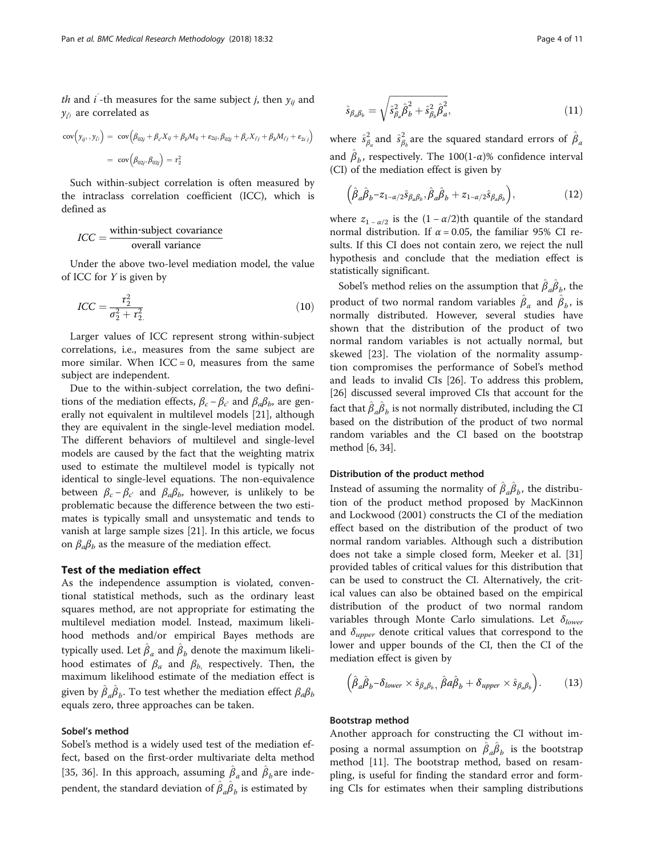*th* and *i* -th measures for the same subject *j*, then  $y_{ij}$  and  $y_{i'}$  are correlated as

$$
cov(y_{ij}, y_{i'}) = cov(\beta_{02j} + \beta_c X_{ij} + \beta_b M_{ij} + \varepsilon_{2ij}, \beta_{02j} + \beta_c X_{ij} + \beta_b M_{ij} + \varepsilon_{2i'})
$$
  
=  $cov(\beta_{02j}, \beta_{02j}) = \tau_2^2$ 

Such within-subject correlation is often measured by the intraclass correlation coefficient (ICC), which is defined as

# $ICC = \frac{\text{within-subject covariance}}{\text{overall variance}}$

Under the above two-level mediation model, the value of ICC for Y is given by

$$
ICC = \frac{r_2^2}{\sigma_2^2 + r_2^2} \tag{10}
$$

Larger values of ICC represent strong within-subject correlations, i.e., measures from the same subject are more similar. When  $ICC = 0$ , measures from the same subject are independent.

Due to the within-subject correlation, the two definitions of the mediation effects,  $\beta_c - \beta_c$  and  $\beta_a \beta_b$ , are generally not equivalent in multilevel models [[21\]](#page-10-0), although they are equivalent in the single-level mediation model. The different behaviors of multilevel and single-level models are caused by the fact that the weighting matrix used to estimate the multilevel model is typically not identical to single-level equations. The non-equivalence between  $\beta_c - \beta_c$  and  $\beta_a \beta_b$ , however, is unlikely to be problematic because the difference between the two estimates is typically small and unsystematic and tends to vanish at large sample sizes [\[21](#page-10-0)]. In this article, we focus on  $\beta_a \beta_b$  as the measure of the mediation effect.

#### Test of the mediation effect

As the independence assumption is violated, conventional statistical methods, such as the ordinary least squares method, are not appropriate for estimating the multilevel mediation model. Instead, maximum likelihood methods and/or empirical Bayes methods are typically used. Let  $\hat{\beta}_a$  and  $\hat{\beta}_b$  denote the maximum likelihood estimates of  $\beta_a$  and  $\beta_b$ , respectively. Then, the maximum likelihood estimate of the mediation effect is given by  $\hat{\beta}_a \hat{\beta}_b$ . To test whether the mediation effect  $\beta_a \beta_b$ equals zero, three approaches can be taken.

## Sobel's method

Sobel's method is a widely used test of the mediation effect, based on the first-order multivariate delta method [[35, 36](#page-10-0)]. In this approach, assuming  $\hat{\beta}_a$  and  $\hat{\beta}_b$  are independent, the standard deviation of  $\hat{\beta}_a \hat{\beta}_b$  is estimated by

$$
\hat{s}_{\beta_a \beta_b} = \sqrt{\hat{s}_{\beta_a}^2 \hat{\beta}_b^2 + \hat{s}_{\beta_b}^2 \hat{\beta}_a^2},
$$
\n(11)

where  $\hat{s}_{\beta_a}^2$  and  $\hat{s}_{\beta_b}^2$  are the squared standard errors of  $\hat{\beta}_a$ and  $\hat{\beta}_b$ , respectively. The 100(1- $\alpha$ )% confidence interval (CI) of the mediation effect is given by

$$
\left(\hat{\beta}_a \hat{\beta}_b - z_{1-\alpha/2} \hat{s}_{\beta_a \beta_b}, \hat{\beta}_a \hat{\beta}_b + z_{1-\alpha/2} \hat{s}_{\beta_a \beta_b}\right),\tag{12}
$$

where  $z_{1-\alpha/2}$  is the  $(1-\alpha/2)$ th quantile of the standard normal distribution. If  $\alpha = 0.05$ , the familiar 95% CI results. If this CI does not contain zero, we reject the null hypothesis and conclude that the mediation effect is statistically significant.

Sobel's method relies on the assumption that  $\hat{\beta}_a \hat{\beta}_b$ , the product of two normal random variables  $\hat{\beta}_a$  and  $\hat{\beta}_b$ , is normally distributed. However, several studies have shown that the distribution of the product of two normal random variables is not actually normal, but skewed [\[23](#page-10-0)]. The violation of the normality assumption compromises the performance of Sobel's method and leads to invalid CIs [[26](#page-10-0)]. To address this problem, [[26](#page-10-0)] discussed several improved CIs that account for the fact that  $\hat{\beta}_a \hat{\beta}_b$  is not normally distributed, including the CI based on the distribution of the product of two normal random variables and the CI based on the bootstrap method [\[6](#page-9-0), [34](#page-10-0)].

## Distribution of the product method

Instead of assuming the normality of  $\hat{\beta}_a \hat{\beta}_b$ , the distribution of the product method proposed by MacKinnon and Lockwood (2001) constructs the CI of the mediation effect based on the distribution of the product of two normal random variables. Although such a distribution does not take a simple closed form, Meeker et al. [[31](#page-10-0)] provided tables of critical values for this distribution that can be used to construct the CI. Alternatively, the critical values can also be obtained based on the empirical distribution of the product of two normal random variables through Monte Carlo simulations. Let  $\delta_{lower}$ and  $\delta_{upper}$  denote critical values that correspond to the lower and upper bounds of the CI, then the CI of the mediation effect is given by

$$
\left(\hat{\beta}_a \hat{\beta}_b - \delta_{lower} \times \hat{s}_{\beta_a \beta_b}, \hat{\beta}_a \hat{\beta}_b + \delta_{upper} \times \hat{s}_{\beta_a \beta_b}\right). \tag{13}
$$

#### Bootstrap method

Another approach for constructing the CI without imposing a normal assumption on  $\hat{\beta}_a \hat{\beta}_b$  is the bootstrap method [\[11](#page-10-0)]. The bootstrap method, based on resampling, is useful for finding the standard error and forming CIs for estimates when their sampling distributions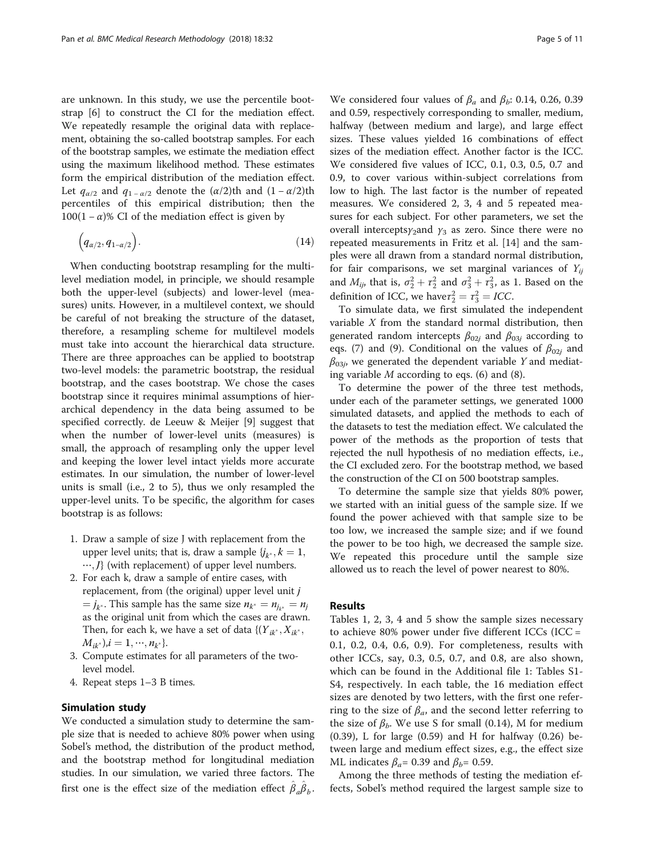are unknown. In this study, we use the percentile bootstrap [[6\]](#page-9-0) to construct the CI for the mediation effect. We repeatedly resample the original data with replacement, obtaining the so-called bootstrap samples. For each of the bootstrap samples, we estimate the mediation effect using the maximum likelihood method. These estimates form the empirical distribution of the mediation effect. Let  $q_{\alpha/2}$  and  $q_{1-\alpha/2}$  denote the  $(\alpha/2)$ th and  $(1-\alpha/2)$ th percentiles of this empirical distribution; then the  $100(1 - \alpha)$ % CI of the mediation effect is given by

$$
(q_{\alpha/2}, q_{1-\alpha/2}). \tag{14}
$$

When conducting bootstrap resampling for the multilevel mediation model, in principle, we should resample both the upper-level (subjects) and lower-level (measures) units. However, in a multilevel context, we should be careful of not breaking the structure of the dataset, therefore, a resampling scheme for multilevel models must take into account the hierarchical data structure. There are three approaches can be applied to bootstrap two-level models: the parametric bootstrap, the residual bootstrap, and the cases bootstrap. We chose the cases bootstrap since it requires minimal assumptions of hierarchical dependency in the data being assumed to be specified correctly. de Leeuw & Meijer [\[9](#page-10-0)] suggest that when the number of lower-level units (measures) is small, the approach of resampling only the upper level and keeping the lower level intact yields more accurate estimates. In our simulation, the number of lower-level units is small (i.e., 2 to 5), thus we only resampled the upper-level units. To be specific, the algorithm for cases bootstrap is as follows:

- 1. Draw a sample of size J with replacement from the upper level units; that is, draw a sample  $\{j_{k^*}, k = 1, \}$  $...,$  /} (with replacement) of upper level numbers.
- 2. For each k, draw a sample of entire cases, with replacement, from (the original) upper level unit j  $j_{k^*}$ . This sample has the same size  $n_{k^*} = n_{j_{k^*}} = n_j$ as the original unit from which the cases are drawn. Then, for each k, we have a set of data  $\{(\overline{Y}_{ik^*}, \overline{X}_{ik^*}, \overline{X}_{ik^*}, \overline{X}_{ik^*}, \overline{X}_{ik^*}, \overline{X}_{ik^*}, \overline{X}_{ik^*}, \overline{X}_{ik^*}, \overline{X}_{ik^*}, \overline{X}_{ik^*}, \overline{X}_{ik^*}, \overline{X}_{ik^*}, \overline{X}_{ik^*}, \overline{X}_{ik^*}, \overline{X}_{ik^*}, \overline{X}_{ik^*}, \overline{X}_{ik^*}, \overline{X}_{ik^$  $M_{ik^*}$ ,  $i = 1, \dots, n_{k^*}$ .
- 3. Compute estimates for all parameters of the twolevel model.
- 4. Repeat steps 1–3 B times.

## Simulation study

We conducted a simulation study to determine the sample size that is needed to achieve 80% power when using Sobel's method, the distribution of the product method, and the bootstrap method for longitudinal mediation studies. In our simulation, we varied three factors. The first one is the effect size of the mediation effect  $\hat{\beta}_a \hat{\beta}_b$ .

We considered four values of  $\beta_a$  and  $\beta_b$ : 0.14, 0.26, 0.39 and 0.59, respectively corresponding to smaller, medium, halfway (between medium and large), and large effect sizes. These values yielded 16 combinations of effect sizes of the mediation effect. Another factor is the ICC. We considered five values of ICC, 0.1, 0.3, 0.5, 0.7 and 0.9, to cover various within-subject correlations from low to high. The last factor is the number of repeated measures. We considered 2, 3, 4 and 5 repeated measures for each subject. For other parameters, we set the overall intercepts $\gamma_2$ and  $\gamma_3$  as zero. Since there were no repeated measurements in Fritz et al. [[14\]](#page-10-0) and the samples were all drawn from a standard normal distribution, for fair comparisons, we set marginal variances of  $Y_{ii}$ and  $M_{ij}$ , that is,  $\sigma_2^2 + \tau_2^2$  and  $\sigma_3^2 + \tau_3^2$ , as 1. Based on the definition of ICC, we have  $\tau_2^2 = \tau_3^2 = ICC$ .

To simulate data, we first simulated the independent variable X from the standard normal distribution, then generated random intercepts  $\beta_{02j}$  and  $\beta_{03j}$  according to eqs. ([7\)](#page-2-0) and [\(9\)](#page-2-0). Conditional on the values of  $\beta_{02i}$  and  $\beta_{03i}$ , we generated the dependent variable Y and mediating variable  $M$  according to eqs. ([6\)](#page-2-0) and ([8\)](#page-2-0).

To determine the power of the three test methods, under each of the parameter settings, we generated 1000 simulated datasets, and applied the methods to each of the datasets to test the mediation effect. We calculated the power of the methods as the proportion of tests that rejected the null hypothesis of no mediation effects, i.e., the CI excluded zero. For the bootstrap method, we based the construction of the CI on 500 bootstrap samples.

To determine the sample size that yields 80% power, we started with an initial guess of the sample size. If we found the power achieved with that sample size to be too low, we increased the sample size; and if we found the power to be too high, we decreased the sample size. We repeated this procedure until the sample size allowed us to reach the level of power nearest to 80%.

## Results

Tables [1,](#page-5-0) [2](#page-6-0), [3,](#page-6-0) [4](#page-7-0) and [5](#page-7-0) show the sample sizes necessary to achieve 80% power under five different ICCs (ICC = 0.1, 0.2, 0.4, 0.6, 0.9). For completeness, results with other ICCs, say, 0.3, 0.5, 0.7, and 0.8, are also shown, which can be found in the Additional file [1](#page-9-0): Tables S1- S4, respectively. In each table, the 16 mediation effect sizes are denoted by two letters, with the first one referring to the size of  $\beta_a$ , and the second letter referring to the size of  $\beta_b$ . We use S for small (0.14), M for medium (0.39), L for large (0.59) and H for halfway (0.26) between large and medium effect sizes, e.g., the effect size ML indicates  $\beta_a$ = 0.39 and  $\beta_b$ = 0.59.

Among the three methods of testing the mediation effects, Sobel's method required the largest sample size to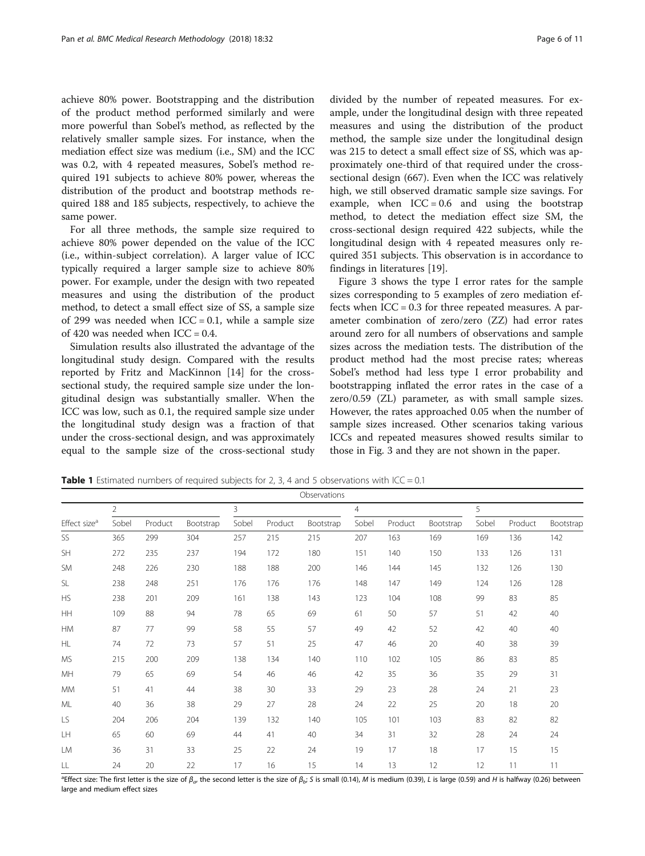<span id="page-5-0"></span>achieve 80% power. Bootstrapping and the distribution of the product method performed similarly and were more powerful than Sobel's method, as reflected by the relatively smaller sample sizes. For instance, when the mediation effect size was medium (i.e., SM) and the ICC was 0.2, with 4 repeated measures, Sobel's method required 191 subjects to achieve 80% power, whereas the distribution of the product and bootstrap methods required 188 and 185 subjects, respectively, to achieve the same power.

For all three methods, the sample size required to achieve 80% power depended on the value of the ICC (i.e., within-subject correlation). A larger value of ICC typically required a larger sample size to achieve 80% power. For example, under the design with two repeated measures and using the distribution of the product method, to detect a small effect size of SS, a sample size of 299 was needed when  $ICC = 0.1$ , while a sample size of 420 was needed when  $ICC = 0.4$ .

Simulation results also illustrated the advantage of the longitudinal study design. Compared with the results reported by Fritz and MacKinnon [[14\]](#page-10-0) for the crosssectional study, the required sample size under the longitudinal design was substantially smaller. When the ICC was low, such as 0.1, the required sample size under the longitudinal study design was a fraction of that under the cross-sectional design, and was approximately equal to the sample size of the cross-sectional study divided by the number of repeated measures. For example, under the longitudinal design with three repeated measures and using the distribution of the product method, the sample size under the longitudinal design was 215 to detect a small effect size of SS, which was approximately one-third of that required under the crosssectional design (667). Even when the ICC was relatively high, we still observed dramatic sample size savings. For example, when  $ICC = 0.6$  and using the bootstrap method, to detect the mediation effect size SM, the cross-sectional design required 422 subjects, while the longitudinal design with 4 repeated measures only required 351 subjects. This observation is in accordance to findings in literatures [\[19](#page-10-0)].

Figure [3](#page-8-0) shows the type I error rates for the sample sizes corresponding to 5 examples of zero mediation effects when  $ICC = 0.3$  for three repeated measures. A parameter combination of zero/zero (ZZ) had error rates around zero for all numbers of observations and sample sizes across the mediation tests. The distribution of the product method had the most precise rates; whereas Sobel's method had less type I error probability and bootstrapping inflated the error rates in the case of a zero/0.59 (ZL) parameter, as with small sample sizes. However, the rates approached 0.05 when the number of sample sizes increased. Other scenarios taking various ICCs and repeated measures showed results similar to those in Fig. [3](#page-8-0) and they are not shown in the paper.

**Table 1** Estimated numbers of required subjects for 2, 3, 4 and 5 observations with  $ICC = 0.1$ 

| Observations             |                |         |           |       |         |           |       |         |           |       |         |           |
|--------------------------|----------------|---------|-----------|-------|---------|-----------|-------|---------|-----------|-------|---------|-----------|
| Effect size <sup>a</sup> | $\overline{2}$ |         |           | 3     |         |           | 4     |         |           | 5     |         |           |
|                          | Sobel          | Product | Bootstrap | Sobel | Product | Bootstrap | Sobel | Product | Bootstrap | Sobel | Product | Bootstrap |
| SS                       | 365            | 299     | 304       | 257   | 215     | 215       | 207   | 163     | 169       | 169   | 136     | 142       |
| <b>SH</b>                | 272            | 235     | 237       | 194   | 172     | 180       | 151   | 140     | 150       | 133   | 126     | 131       |
| <b>SM</b>                | 248            | 226     | 230       | 188   | 188     | 200       | 146   | 144     | 145       | 132   | 126     | 130       |
| <b>SL</b>                | 238            | 248     | 251       | 176   | 176     | 176       | 148   | 147     | 149       | 124   | 126     | 128       |
| <b>HS</b>                | 238            | 201     | 209       | 161   | 138     | 143       | 123   | 104     | 108       | 99    | 83      | 85        |
| HH                       | 109            | 88      | 94        | 78    | 65      | 69        | 61    | 50      | 57        | 51    | 42      | 40        |
| <b>HM</b>                | 87             | 77      | 99        | 58    | 55      | 57        | 49    | 42      | 52        | 42    | 40      | 40        |
| HL                       | 74             | 72      | 73        | 57    | 51      | 25        | 47    | 46      | 20        | 40    | 38      | 39        |
| <b>MS</b>                | 215            | 200     | 209       | 138   | 134     | 140       | 110   | 102     | 105       | 86    | 83      | 85        |
| MH                       | 79             | 65      | 69        | 54    | 46      | 46        | 42    | 35      | 36        | 35    | 29      | 31        |
| <b>MM</b>                | 51             | 41      | 44        | 38    | 30      | 33        | 29    | 23      | 28        | 24    | 21      | 23        |
| ML                       | 40             | 36      | 38        | 29    | 27      | 28        | 24    | 22      | 25        | 20    | 18      | 20        |
| LS.                      | 204            | 206     | 204       | 139   | 132     | 140       | 105   | 101     | 103       | 83    | 82      | 82        |
| LH                       | 65             | 60      | 69        | 44    | 41      | 40        | 34    | 31      | 32        | 28    | 24      | 24        |
| LM                       | 36             | 31      | 33        | 25    | 22      | 24        | 19    | 17      | 18        | 17    | 15      | 15        |
| LL                       | 24             | 20      | 22        | 17    | 16      | 15        | 14    | 13      | 12        | 12    | 11      | 11        |

<sup>a</sup>Effect size: The first letter is the size of  $\beta_a$ , the second letter is the size of  $\beta_b$ ; S is small (0.14), M is medium (0.39), L is large (0.59) and H is halfway (0.26) between large and medium effect sizes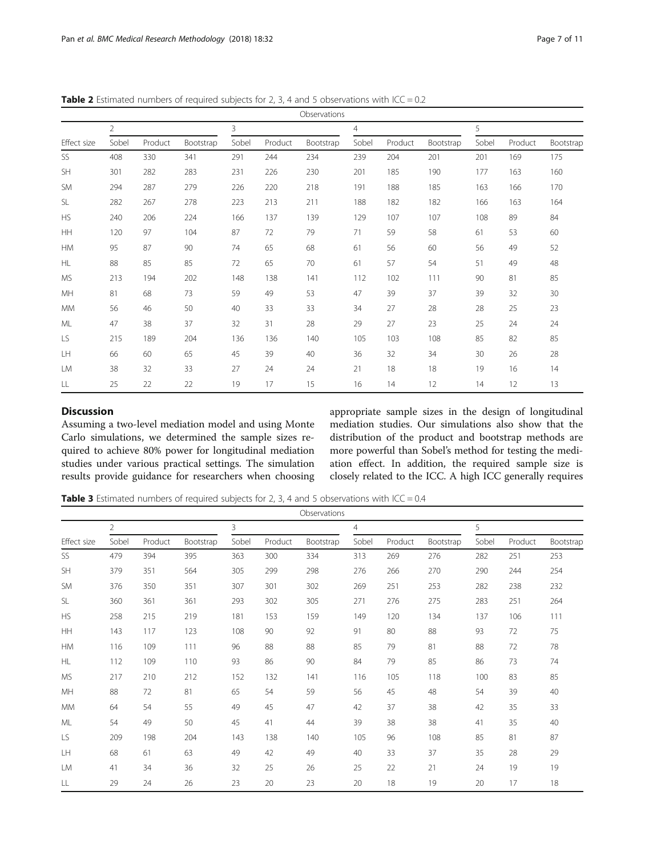| Observations |                |         |           |       |         |           |       |         |           |       |         |           |
|--------------|----------------|---------|-----------|-------|---------|-----------|-------|---------|-----------|-------|---------|-----------|
|              | $\overline{2}$ |         |           | 3     |         |           | 4     |         |           | 5     |         |           |
| Effect size  | Sobel          | Product | Bootstrap | Sobel | Product | Bootstrap | Sobel | Product | Bootstrap | Sobel | Product | Bootstrap |
| SS           | 408            | 330     | 341       | 291   | 244     | 234       | 239   | 204     | 201       | 201   | 169     | 175       |
| <b>SH</b>    | 301            | 282     | 283       | 231   | 226     | 230       | 201   | 185     | 190       | 177   | 163     | 160       |
| <b>SM</b>    | 294            | 287     | 279       | 226   | 220     | 218       | 191   | 188     | 185       | 163   | 166     | 170       |
| <b>SL</b>    | 282            | 267     | 278       | 223   | 213     | 211       | 188   | 182     | 182       | 166   | 163     | 164       |
| <b>HS</b>    | 240            | 206     | 224       | 166   | 137     | 139       | 129   | 107     | 107       | 108   | 89      | 84        |
| <b>HH</b>    | 120            | 97      | 104       | 87    | 72      | 79        | 71    | 59      | 58        | 61    | 53      | 60        |
| HM           | 95             | 87      | 90        | 74    | 65      | 68        | 61    | 56      | 60        | 56    | 49      | 52        |
| <b>HL</b>    | 88             | 85      | 85        | 72    | 65      | 70        | 61    | 57      | 54        | 51    | 49      | 48        |
| <b>MS</b>    | 213            | 194     | 202       | 148   | 138     | 141       | 112   | 102     | 111       | 90    | 81      | 85        |
| MH           | 81             | 68      | 73        | 59    | 49      | 53        | 47    | 39      | 37        | 39    | 32      | 30        |
| <b>MM</b>    | 56             | 46      | 50        | 40    | 33      | 33        | 34    | 27      | 28        | 28    | 25      | 23        |
| ML           | 47             | 38      | 37        | 32    | 31      | 28        | 29    | 27      | 23        | 25    | 24      | 24        |
| LS.          | 215            | 189     | 204       | 136   | 136     | 140       | 105   | 103     | 108       | 85    | 82      | 85        |
| LH           | 66             | 60      | 65        | 45    | 39      | 40        | 36    | 32      | 34        | 30    | 26      | 28        |
| LM           | 38             | 32      | 33        | 27    | 24      | 24        | 21    | 18      | 18        | 19    | 16      | 14        |
| LL           | 25             | 22      | 22        | 19    | 17      | 15        | 16    | 14      | 12        | 14    | 12      | 13        |

<span id="page-6-0"></span>**Table 2** Estimated numbers of required subjects for 2, 3, 4 and 5 observations with ICC = 0.2

## **Discussion**

Assuming a two-level mediation model and using Monte Carlo simulations, we determined the sample sizes required to achieve 80% power for longitudinal mediation studies under various practical settings. The simulation results provide guidance for researchers when choosing

appropriate sample sizes in the design of longitudinal mediation studies. Our simulations also show that the distribution of the product and bootstrap methods are more powerful than Sobel's method for testing the mediation effect. In addition, the required sample size is closely related to the ICC. A high ICC generally requires

**Table 3** Estimated numbers of required subjects for 2, 3, 4 and 5 observations with ICC = 0.4

|             | Observations   |         |           |       |         |           |       |         |           |       |         |           |
|-------------|----------------|---------|-----------|-------|---------|-----------|-------|---------|-----------|-------|---------|-----------|
|             | $\overline{2}$ |         |           | 3     |         |           | 4     |         |           | 5     |         |           |
| Effect size | Sobel          | Product | Bootstrap | Sobel | Product | Bootstrap | Sobel | Product | Bootstrap | Sobel | Product | Bootstrap |
| SS          | 479            | 394     | 395       | 363   | 300     | 334       | 313   | 269     | 276       | 282   | 251     | 253       |
| <b>SH</b>   | 379            | 351     | 564       | 305   | 299     | 298       | 276   | 266     | 270       | 290   | 244     | 254       |
| <b>SM</b>   | 376            | 350     | 351       | 307   | 301     | 302       | 269   | 251     | 253       | 282   | 238     | 232       |
| <b>SL</b>   | 360            | 361     | 361       | 293   | 302     | 305       | 271   | 276     | 275       | 283   | 251     | 264       |
| <b>HS</b>   | 258            | 215     | 219       | 181   | 153     | 159       | 149   | 120     | 134       | 137   | 106     | 111       |
| HH          | 143            | 117     | 123       | 108   | 90      | 92        | 91    | 80      | 88        | 93    | 72      | 75        |
| <b>HM</b>   | 116            | 109     | 111       | 96    | 88      | 88        | 85    | 79      | 81        | 88    | 72      | 78        |
| <b>HL</b>   | 112            | 109     | 110       | 93    | 86      | 90        | 84    | 79      | 85        | 86    | 73      | 74        |
| <b>MS</b>   | 217            | 210     | 212       | 152   | 132     | 141       | 116   | 105     | 118       | 100   | 83      | 85        |
| MH          | 88             | 72      | 81        | 65    | 54      | 59        | 56    | 45      | 48        | 54    | 39      | 40        |
| <b>MM</b>   | 64             | 54      | 55        | 49    | 45      | 47        | 42    | 37      | 38        | 42    | 35      | 33        |
| ML          | 54             | 49      | 50        | 45    | 41      | 44        | 39    | 38      | 38        | 41    | 35      | 40        |
| LS          | 209            | 198     | 204       | 143   | 138     | 140       | 105   | 96      | 108       | 85    | 81      | 87        |
| LH          | 68             | 61      | 63        | 49    | 42      | 49        | 40    | 33      | 37        | 35    | 28      | 29        |
| LM          | 41             | 34      | 36        | 32    | 25      | 26        | 25    | 22      | 21        | 24    | 19      | 19        |
| LL          | 29             | 24      | 26        | 23    | 20      | 23        | 20    | 18      | 19        | 20    | 17      | 18        |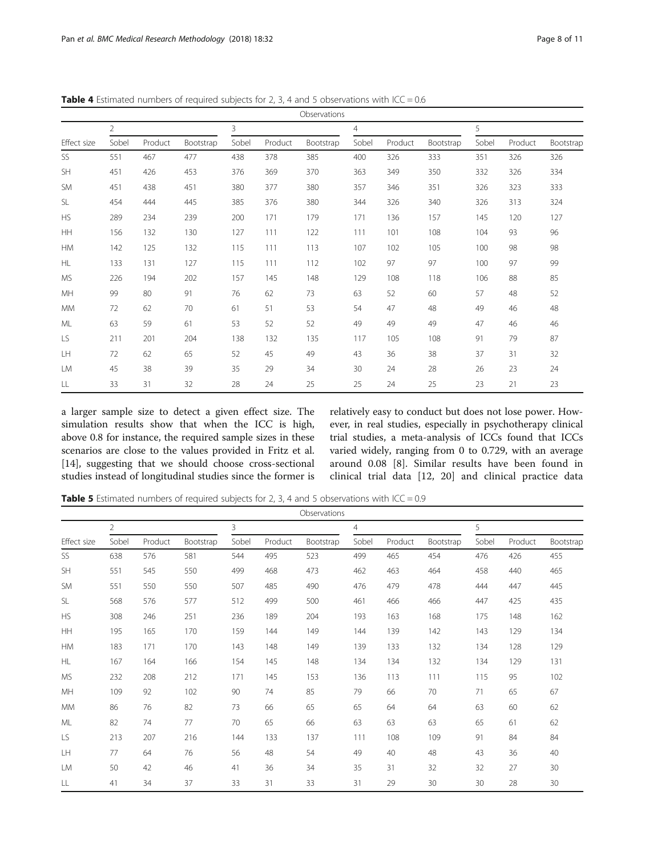| Observations |       |         |           |       |         |           |                |         |           |       |         |           |
|--------------|-------|---------|-----------|-------|---------|-----------|----------------|---------|-----------|-------|---------|-----------|
|              | 2     |         |           | 3     |         |           | $\overline{4}$ |         |           | 5     |         |           |
| Effect size  | Sobel | Product | Bootstrap | Sobel | Product | Bootstrap | Sobel          | Product | Bootstrap | Sobel | Product | Bootstrap |
| SS           | 551   | 467     | 477       | 438   | 378     | 385       | 400            | 326     | 333       | 351   | 326     | 326       |
| <b>SH</b>    | 451   | 426     | 453       | 376   | 369     | 370       | 363            | 349     | 350       | 332   | 326     | 334       |
| <b>SM</b>    | 451   | 438     | 451       | 380   | 377     | 380       | 357            | 346     | 351       | 326   | 323     | 333       |
| <b>SL</b>    | 454   | 444     | 445       | 385   | 376     | 380       | 344            | 326     | 340       | 326   | 313     | 324       |
| <b>HS</b>    | 289   | 234     | 239       | 200   | 171     | 179       | 171            | 136     | 157       | 145   | 120     | 127       |
| HH           | 156   | 132     | 130       | 127   | 111     | 122       | 111            | 101     | 108       | 104   | 93      | 96        |
| HM           | 142   | 125     | 132       | 115   | 111     | 113       | 107            | 102     | 105       | 100   | 98      | 98        |
| <b>HL</b>    | 133   | 131     | 127       | 115   | 111     | 112       | 102            | 97      | 97        | 100   | 97      | 99        |
| <b>MS</b>    | 226   | 194     | 202       | 157   | 145     | 148       | 129            | 108     | 118       | 106   | 88      | 85        |
| MH           | 99    | 80      | 91        | 76    | 62      | 73        | 63             | 52      | 60        | 57    | 48      | 52        |
| <b>MM</b>    | 72    | 62      | 70        | 61    | 51      | 53        | 54             | 47      | 48        | 49    | 46      | 48        |
| ML           | 63    | 59      | 61        | 53    | 52      | 52        | 49             | 49      | 49        | 47    | 46      | 46        |
| LS           | 211   | 201     | 204       | 138   | 132     | 135       | 117            | 105     | 108       | 91    | 79      | 87        |
| LH           | 72    | 62      | 65        | 52    | 45      | 49        | 43             | 36      | 38        | 37    | 31      | 32        |
| <b>LM</b>    | 45    | 38      | 39        | 35    | 29      | 34        | 30             | 24      | 28        | 26    | 23      | 24        |
| LL           | 33    | 31      | 32        | 28    | 24      | 25        | 25             | 24      | 25        | 23    | 21      | 23        |

<span id="page-7-0"></span>**Table 4** Estimated numbers of required subjects for 2, 3, 4 and 5 observations with ICC = 0.6

a larger sample size to detect a given effect size. The simulation results show that when the ICC is high, above 0.8 for instance, the required sample sizes in these scenarios are close to the values provided in Fritz et al. [[14\]](#page-10-0), suggesting that we should choose cross-sectional studies instead of longitudinal studies since the former is

relatively easy to conduct but does not lose power. However, in real studies, especially in psychotherapy clinical trial studies, a meta-analysis of ICCs found that ICCs varied widely, ranging from 0 to 0.729, with an average around 0.08 [\[8](#page-10-0)]. Similar results have been found in clinical trial data [[12](#page-10-0), [20](#page-10-0)] and clinical practice data

**Table 5** Estimated numbers of required subjects for 2, 3, 4 and 5 observations with ICC = 0.9

|             | Observations   |         |           |                |         |           |                |         |           |       |         |           |
|-------------|----------------|---------|-----------|----------------|---------|-----------|----------------|---------|-----------|-------|---------|-----------|
|             | $\overline{2}$ |         |           | $\overline{3}$ |         |           | $\overline{4}$ |         |           | 5     |         |           |
| Effect size | Sobel          | Product | Bootstrap | Sobel          | Product | Bootstrap | Sobel          | Product | Bootstrap | Sobel | Product | Bootstrap |
| SS          | 638            | 576     | 581       | 544            | 495     | 523       | 499            | 465     | 454       | 476   | 426     | 455       |
| <b>SH</b>   | 551            | 545     | 550       | 499            | 468     | 473       | 462            | 463     | 464       | 458   | 440     | 465       |
| <b>SM</b>   | 551            | 550     | 550       | 507            | 485     | 490       | 476            | 479     | 478       | 444   | 447     | 445       |
| <b>SL</b>   | 568            | 576     | 577       | 512            | 499     | 500       | 461            | 466     | 466       | 447   | 425     | 435       |
| <b>HS</b>   | 308            | 246     | 251       | 236            | 189     | 204       | 193            | 163     | 168       | 175   | 148     | 162       |
| HH          | 195            | 165     | 170       | 159            | 144     | 149       | 144            | 139     | 142       | 143   | 129     | 134       |
| <b>HM</b>   | 183            | 171     | 170       | 143            | 148     | 149       | 139            | 133     | 132       | 134   | 128     | 129       |
| HL          | 167            | 164     | 166       | 154            | 145     | 148       | 134            | 134     | 132       | 134   | 129     | 131       |
| <b>MS</b>   | 232            | 208     | 212       | 171            | 145     | 153       | 136            | 113     | 111       | 115   | 95      | 102       |
| MH          | 109            | 92      | 102       | 90             | 74      | 85        | 79             | 66      | 70        | 71    | 65      | 67        |
| <b>MM</b>   | 86             | 76      | 82        | 73             | 66      | 65        | 65             | 64      | 64        | 63    | 60      | 62        |
| ML          | 82             | 74      | 77        | 70             | 65      | 66        | 63             | 63      | 63        | 65    | 61      | 62        |
| LS          | 213            | 207     | 216       | 144            | 133     | 137       | 111            | 108     | 109       | 91    | 84      | 84        |
| LH          | 77             | 64      | 76        | 56             | 48      | 54        | 49             | 40      | 48        | 43    | 36      | 40        |
| LM          | 50             | 42      | 46        | 41             | 36      | 34        | 35             | 31      | 32        | 32    | 27      | 30        |
| LL          | 41             | 34      | 37        | 33             | 31      | 33        | 31             | 29      | 30        | 30    | 28      | 30        |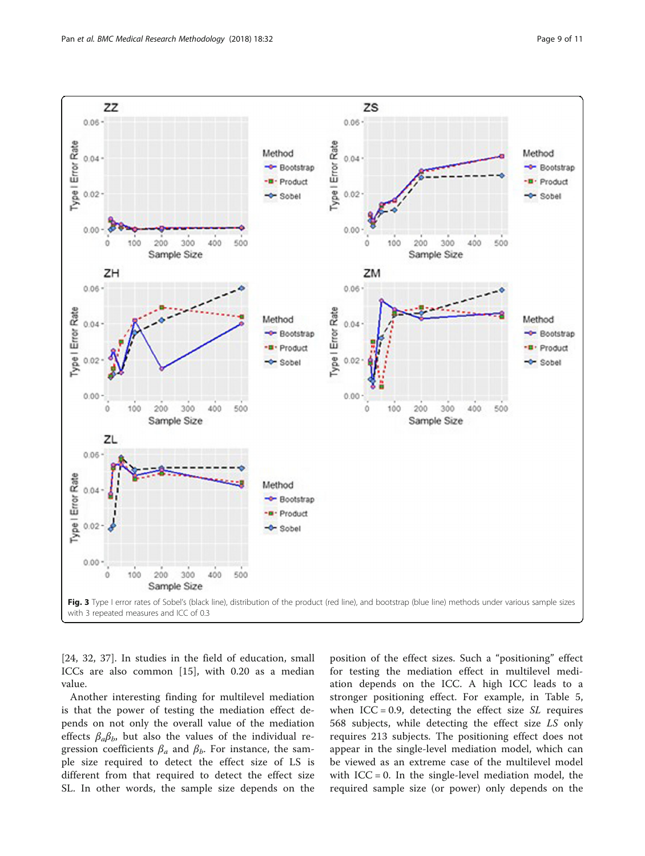<span id="page-8-0"></span>

[[24, 32](#page-10-0), [37\]](#page-10-0). In studies in the field of education, small ICCs are also common [[15\]](#page-10-0), with 0.20 as a median value.

Another interesting finding for multilevel mediation is that the power of testing the mediation effect depends on not only the overall value of the mediation effects  $\beta_a\beta_b$ , but also the values of the individual regression coefficients  $\beta_a$  and  $\beta_b$ . For instance, the sample size required to detect the effect size of LS is different from that required to detect the effect size SL. In other words, the sample size depends on the

position of the effect sizes. Such a "positioning" effect for testing the mediation effect in multilevel mediation depends on the ICC. A high ICC leads to a stronger positioning effect. For example, in Table [5](#page-7-0), when  $ICC = 0.9$ , detecting the effect size  $SL$  requires 568 subjects, while detecting the effect size LS only requires 213 subjects. The positioning effect does not appear in the single-level mediation model, which can be viewed as an extreme case of the multilevel model with  $ICC = 0$ . In the single-level mediation model, the required sample size (or power) only depends on the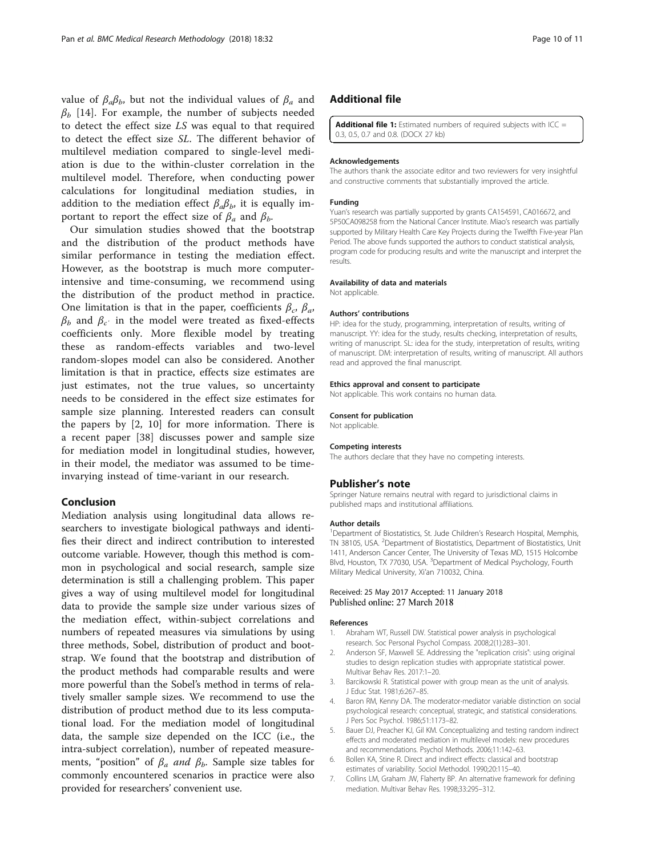<span id="page-9-0"></span>value of  $\beta_a \beta_b$ , but not the individual values of  $\beta_a$  and  $\beta_h$  [[14\]](#page-10-0). For example, the number of subjects needed to detect the effect size LS was equal to that required to detect the effect size SL. The different behavior of multilevel mediation compared to single-level mediation is due to the within-cluster correlation in the multilevel model. Therefore, when conducting power calculations for longitudinal mediation studies, in addition to the mediation effect  $\beta_a \beta_b$ , it is equally important to report the effect size of  $\beta_a$  and  $\beta_b$ .

Our simulation studies showed that the bootstrap and the distribution of the product methods have similar performance in testing the mediation effect. However, as the bootstrap is much more computerintensive and time-consuming, we recommend using the distribution of the product method in practice. One limitation is that in the paper, coefficients  $\beta_c$ ,  $\beta_a$ ,  $β<sub>b</sub>$  and  $β<sub>c</sub>$  in the model were treated as fixed-effects coefficients only. More flexible model by treating these as random-effects variables and two-level random-slopes model can also be considered. Another limitation is that in practice, effects size estimates are just estimates, not the true values, so uncertainty needs to be considered in the effect size estimates for sample size planning. Interested readers can consult the papers by [2, [10\]](#page-10-0) for more information. There is a recent paper [[38\]](#page-10-0) discusses power and sample size for mediation model in longitudinal studies, however, in their model, the mediator was assumed to be timeinvarying instead of time-variant in our research.

## Conclusion

Mediation analysis using longitudinal data allows researchers to investigate biological pathways and identifies their direct and indirect contribution to interested outcome variable. However, though this method is common in psychological and social research, sample size determination is still a challenging problem. This paper gives a way of using multilevel model for longitudinal data to provide the sample size under various sizes of the mediation effect, within-subject correlations and numbers of repeated measures via simulations by using three methods, Sobel, distribution of product and bootstrap. We found that the bootstrap and distribution of the product methods had comparable results and were more powerful than the Sobel's method in terms of relatively smaller sample sizes. We recommend to use the distribution of product method due to its less computational load. For the mediation model of longitudinal data, the sample size depended on the ICC (i.e., the intra-subject correlation), number of repeated measurements, "position" of  $\beta_a$  and  $\beta_b$ . Sample size tables for commonly encountered scenarios in practice were also provided for researchers' convenient use.

## Additional file

[Additional file 1:](dx.doi.org/10.1186/s12874-018-0473-2) Estimated numbers of required subjects with ICC = 0.3, 0.5, 0.7 and 0.8. (DOCX 27 kb)

#### Acknowledgements

The authors thank the associate editor and two reviewers for very insightful and constructive comments that substantially improved the article.

#### Funding

Yuan's research was partially supported by grants CA154591, CA016672, and 5P50CA098258 from the National Cancer Institute. Miao's research was partially supported by Military Health Care Key Projects during the Twelfth Five-year Plan Period. The above funds supported the authors to conduct statistical analysis, program code for producing results and write the manuscript and interpret the results.

#### Availability of data and materials

Not applicable.

#### Authors' contributions

HP: idea for the study, programming, interpretation of results, writing of manuscript. YY: idea for the study, results checking, interpretation of results, writing of manuscript. SL: idea for the study, interpretation of results, writing of manuscript. DM: interpretation of results, writing of manuscript. All authors read and approved the final manuscript.

#### Ethics approval and consent to participate

Not applicable. This work contains no human data.

#### Consent for publication

Not applicable.

#### Competing interests

The authors declare that they have no competing interests.

#### Publisher's note

Springer Nature remains neutral with regard to jurisdictional claims in published maps and institutional affiliations.

#### Author details

<sup>1</sup>Department of Biostatistics, St. Jude Children's Research Hospital, Memphis TN 38105, USA. <sup>2</sup>Department of Biostatistics, Department of Biostatistics, Unit 1411, Anderson Cancer Center, The University of Texas MD, 1515 Holcombe Blvd, Houston, TX 77030, USA. <sup>3</sup>Department of Medical Psychology, Fourth Military Medical University, Xi'an 710032, China.

#### Received: 25 May 2017 Accepted: 11 January 2018 Published online: 27 March 2018

#### References

- 1. Abraham WT, Russell DW. Statistical power analysis in psychological research. Soc Personal Psychol Compass. 2008;2(1):283–301.
- 2. Anderson SF, Maxwell SE. Addressing the "replication crisis": using original studies to design replication studies with appropriate statistical power. Multivar Behav Res. 2017:1–20.
- 3. Barcikowski R. Statistical power with group mean as the unit of analysis. J Educ Stat. 1981;6:267–85.
- Baron RM, Kenny DA. The moderator-mediator variable distinction on social psychological research: conceptual, strategic, and statistical considerations. J Pers Soc Psychol. 1986;51:1173–82.
- 5. Bauer DJ, Preacher KJ, Gil KM. Conceptualizing and testing random indirect effects and moderated mediation in multilevel models: new procedures and recommendations. Psychol Methods. 2006;11:142–63.
- 6. Bollen KA, Stine R. Direct and indirect effects: classical and bootstrap estimates of variability. Sociol Methodol. 1990;20:115–40.
- 7. Collins LM, Graham JW, Flaherty BP. An alternative framework for defining mediation. Multivar Behav Res. 1998;33:295–312.